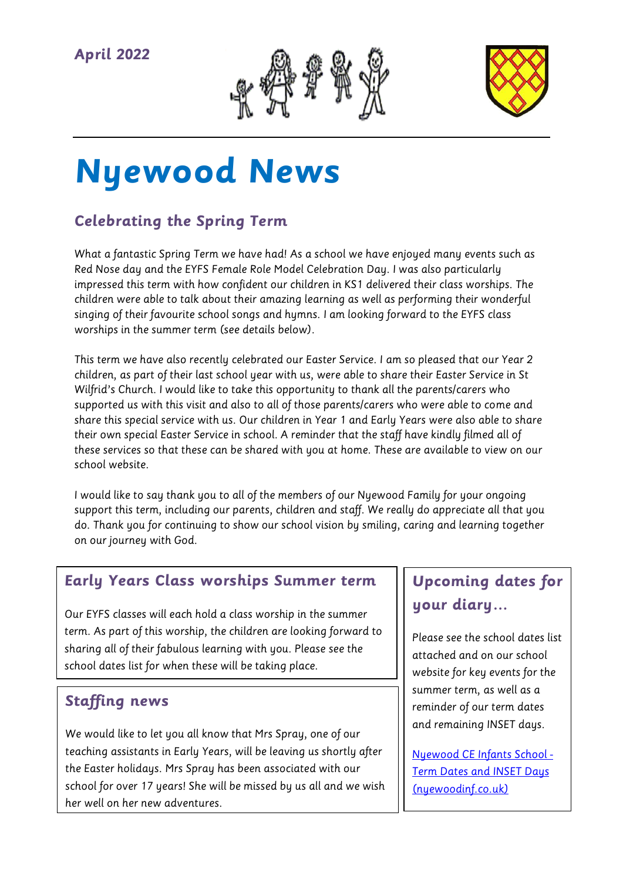

# **Nyewood News**

## **Celebrating the Spring Term**

What a fantastic Spring Term we have had! As a school we have enjoyed many events such as Red Nose day and the EYFS Female Role Model Celebration Day. I was also particularly impressed this term with how confident our children in KS1 delivered their class worships. The children were able to talk about their amazing learning as well as performing their wonderful singing of their favourite school songs and hymns. I am looking forward to the EYFS class worships in the summer term (see details below).

This term we have also recently celebrated our Easter Service. I am so pleased that our Year 2 children, as part of their last school year with us, were able to share their Easter Service in St Wilfrid's Church. I would like to take this opportunity to thank all the parents/carers who supported us with this visit and also to all of those parents/carers who were able to come and share this special service with us. Our children in Year 1 and Early Years were also able to share their own special Easter Service in school. A reminder that the staff have kindly filmed all of these services so that these can be shared with you at home. These are available to view on our school website.

I would like to say thank you to all of the members of our Nyewood Family for your ongoing support this term, including our parents, children and staff. We really do appreciate all that you do. Thank you for continuing to show our school vision by smiling, caring and learning together on our journey with God.

#### **Early Years Class worships Summer term**

Our EYFS classes will each hold a class worship in the summer term. As part of this worship, the children are looking forward to sharing all of their fabulous learning with you. Please see the school dates list for when these will be taking place.

#### **Staffing news**

We would like to let you all know that Mrs Spray, one of our teaching assistants in Early Years, will be leaving us shortly after the Easter holidays. Mrs Spray has been associated with our school for over 17 years! She will be missed by us all and we wish her well on her new adventures.

## **Upcoming dates for your diary…**

Please see the school dates list attached and on our school website for key events for the summer term, as well as a reminder of our term dates and remaining INSET days.

[Nyewood CE Infants School -](https://www.nyewoodinf.co.uk/page/?title=Term+Dates+and+INSET+Days&pid=40) [Term Dates and INSET Days](https://www.nyewoodinf.co.uk/page/?title=Term+Dates+and+INSET+Days&pid=40)  [\(nyewoodinf.co.uk\)](https://www.nyewoodinf.co.uk/page/?title=Term+Dates+and+INSET+Days&pid=40)